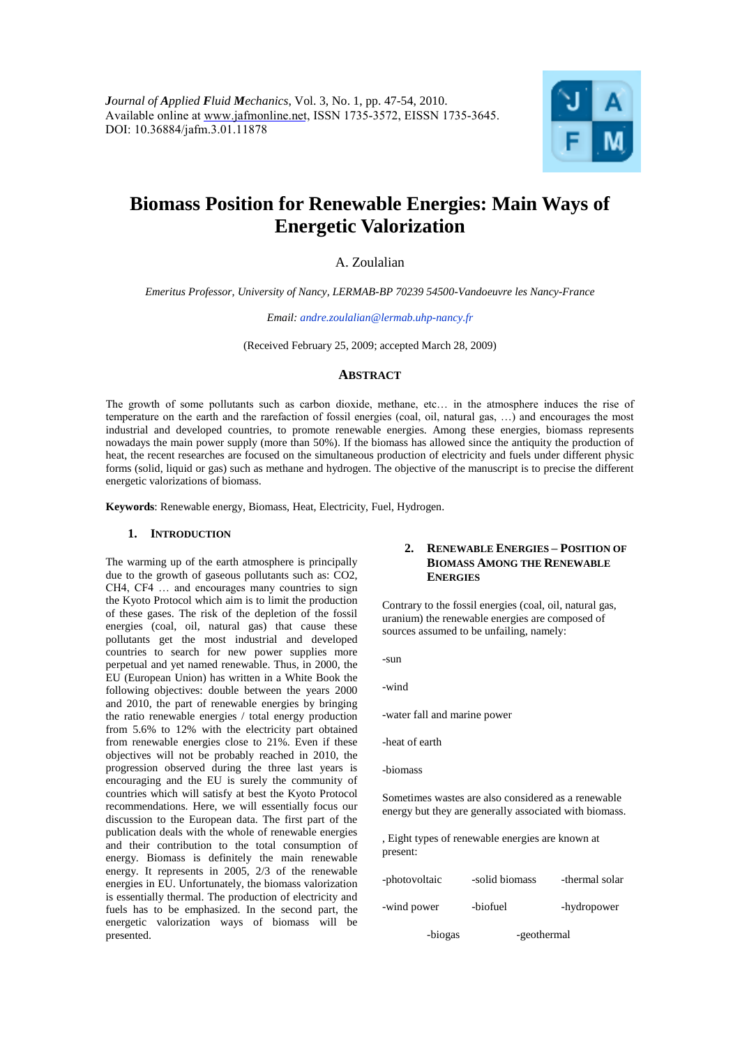

# **Biomass Position for Renewable Energies: Main Ways of Energetic Valorization**

A. Zoulalian

*Emeritus Professor, University of Nancy, LERMAB-BP 70239 54500-Vandoeuvre les Nancy-France*

*Email: andre.zoulalian@lermab.uhp-nancy.fr*

(Received February 25, 2009; accepted March 28, 2009)

### **ABSTRACT**

The growth of some pollutants such as carbon dioxide, methane, etc… in the atmosphere induces the rise of temperature on the earth and the rarefaction of fossil energies (coal, oil, natural gas, …) and encourages the most industrial and developed countries, to promote renewable energies. Among these energies, biomass represents nowadays the main power supply (more than 50%). If the biomass has allowed since the antiquity the production of heat, the recent researches are focused on the simultaneous production of electricity and fuels under different physic forms (solid, liquid or gas) such as methane and hydrogen. The objective of the manuscript is to precise the different energetic valorizations of biomass.

**Keywords**: Renewable energy, Biomass, Heat, Electricity, Fuel, Hydrogen.

#### **1. INTRODUCTION**

The warming up of the earth atmosphere is principally due to the growth of gaseous pollutants such as: CO2, CH4, CF4 … and encourages many countries to sign the Kyoto Protocol which aim is to limit the production of these gases. The risk of the depletion of the fossil energies (coal, oil, natural gas) that cause these pollutants get the most industrial and developed countries to search for new power supplies more perpetual and yet named renewable. Thus, in 2000, the EU (European Union) has written in a White Book the following objectives: double between the years 2000 and 2010, the part of renewable energies by bringing the ratio renewable energies / total energy production from 5.6% to 12% with the electricity part obtained from renewable energies close to 21%. Even if these objectives will not be probably reached in 2010, the progression observed during the three last years is encouraging and the EU is surely the community of countries which will satisfy at best the Kyoto Protocol recommendations. Here, we will essentially focus our discussion to the European data. The first part of the publication deals with the whole of renewable energies and their contribution to the total consumption of energy. Biomass is definitely the main renewable energy. It represents in 2005, 2/3 of the renewable energies in EU. Unfortunately, the biomass valorization is essentially thermal. The production of electricity and fuels has to be emphasized. In the second part, the energetic valorization ways of biomass will be presented.

## **2. RENEWABLE ENERGIES – POSITION OF BIOMASS AMONG THE RENEWABLE ENERGIES**

Contrary to the fossil energies (coal, oil, natural gas, uranium) the renewable energies are composed of sources assumed to be unfailing, namely:

-sun

-wind

-water fall and marine power

-heat of earth

Sometimes wastes are also considered as a renewable energy but they are generally associated with biomass.

, Eight types of renewable energies are known at present:

| -photovoltaic | -solid biomass | -thermal solar |
|---------------|----------------|----------------|
| -wind power   | -biofuel       | -hydropower    |
| -biogas       | -geothermal    |                |

<sup>-</sup>biomass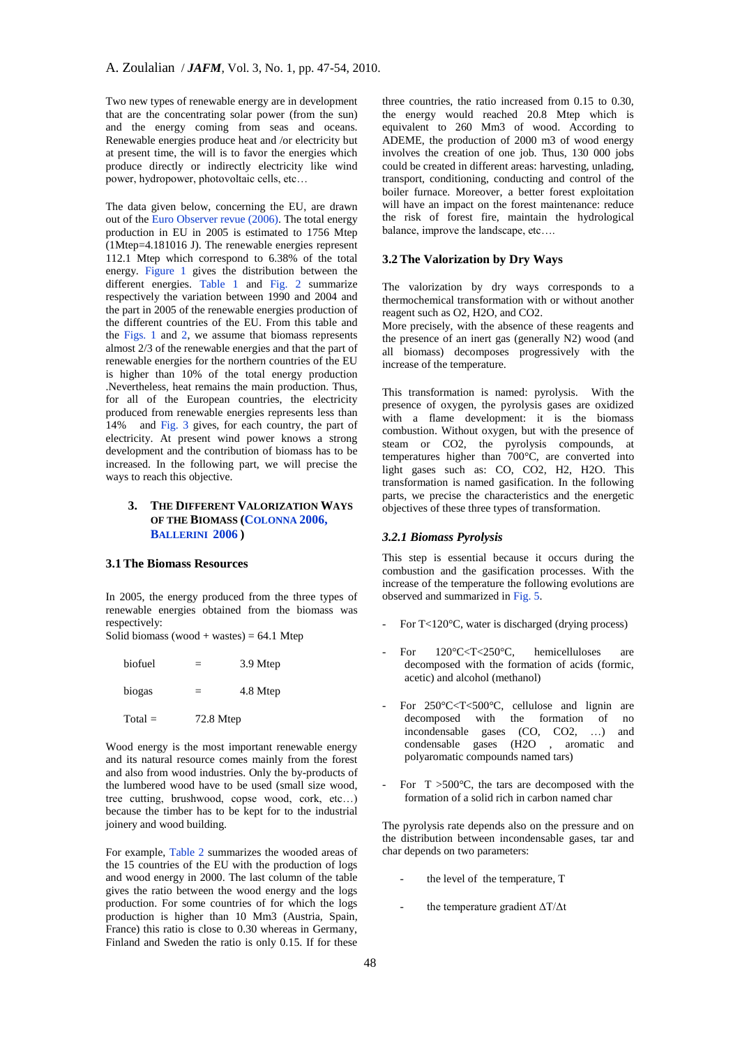Two new types of renewable energy are in development that are the concentrating solar power (from the sun) and the energy coming from seas and oceans. Renewable energies produce heat and /or electricity but at present time, the will is to favor the energies which produce directly or indirectly electricity like wind power, hydropower, photovoltaic cells, etc…

The data given below, concerning the EU, are drawn out of the Euro Observer revue (2006). The total energy production in EU in 2005 is estimated to 1756 Mtep (1Mtep=4.181016 J). The renewable energies represent 112.1 Mtep which correspond to 6.38% of the total energy. Figure 1 gives the distribution between the different energies. Table 1 and Fig. 2 summarize respectively the variation between 1990 and 2004 and the part in 2005 of the renewable energies production of the different countries of the EU. From this table and the Figs. 1 and 2, we assume that biomass represents almost 2/3 of the renewable energies and that the part of renewable energies for the northern countries of the EU is higher than 10% of the total energy production .Nevertheless, heat remains the main production. Thus, for all of the European countries, the electricity produced from renewable energies represents less than 14% and Fig. 3 gives, for each country, the part of electricity. At present wind power knows a strong development and the contribution of biomass has to be increased. In the following part, we will precise the ways to reach this objective.

# **3. THE DIFFERENT VALORIZATION WAYS OF THE BIOMASS (COLONNA 2006, BALLERINI 2006 )**

# **3.1The Biomass Resources**

In 2005, the energy produced from the three types of renewable energies obtained from the biomass was respectively:

Solid biomass (wood + wastes) =  $64.1$  Mtep

| biofuel   | $=$       | 3.9 Mtep |
|-----------|-----------|----------|
| biogas    | $=$       | 4.8 Mtep |
| $Total =$ | 72.8 Mtep |          |

Wood energy is the most important renewable energy and its natural resource comes mainly from the forest and also from wood industries. Only the by-products of the lumbered wood have to be used (small size wood, tree cutting, brushwood, copse wood, cork, etc…) because the timber has to be kept for to the industrial joinery and wood building.

For example, Table 2 summarizes the wooded areas of the 15 countries of the EU with the production of logs and wood energy in 2000. The last column of the table gives the ratio between the wood energy and the logs production. For some countries of for which the logs production is higher than 10 Mm3 (Austria, Spain, France) this ratio is close to 0.30 whereas in Germany, Finland and Sweden the ratio is only 0.15. If for these

three countries, the ratio increased from 0.15 to 0.30, the energy would reached 20.8 Mtep which is equivalent to 260 Mm3 of wood. According to ADEME, the production of 2000 m3 of wood energy involves the creation of one job. Thus, 130 000 jobs could be created in different areas: harvesting, unlading, transport, conditioning, conducting and control of the boiler furnace. Moreover, a better forest exploitation will have an impact on the forest maintenance: reduce the risk of forest fire, maintain the hydrological balance, improve the landscape, etc….

## **3.2The Valorization by Dry Ways**

The valorization by dry ways corresponds to a thermochemical transformation with or without another reagent such as O2, H2O, and CO2.

More precisely, with the absence of these reagents and the presence of an inert gas (generally N2) wood (and all biomass) decomposes progressively with the increase of the temperature.

This transformation is named: pyrolysis. With the presence of oxygen, the pyrolysis gases are oxidized with a flame development: it is the biomass combustion. Without oxygen, but with the presence of steam or CO2, the pyrolysis compounds, at temperatures higher than 700°C, are converted into light gases such as: CO, CO2, H2, H2O. This transformation is named gasification. In the following parts, we precise the characteristics and the energetic objectives of these three types of transformation.

#### *3.2.1 Biomass Pyrolysis*

This step is essential because it occurs during the combustion and the gasification processes. With the increase of the temperature the following evolutions are observed and summarized in Fig. 5.

- For T<120°C, water is discharged (drying process)
- For  $120^{\circ}$ C<T<250°C, hemicelluloses are decomposed with the formation of acids (formic, acetic) and alcohol (methanol)
- For 250°C<T<500°C, cellulose and lignin are decomposed with the formation of no incondensable gases (CO, CO2, …) and condensable gases (H2O , aromatic and polyaromatic compounds named tars)
- For  $T > 500^{\circ}$ C, the tars are decomposed with the formation of a solid rich in carbon named char

The pyrolysis rate depends also on the pressure and on the distribution between incondensable gases, tar and char depends on two parameters:

- the level of the temperature, T
- the temperature gradient  $\Delta T/\Delta t$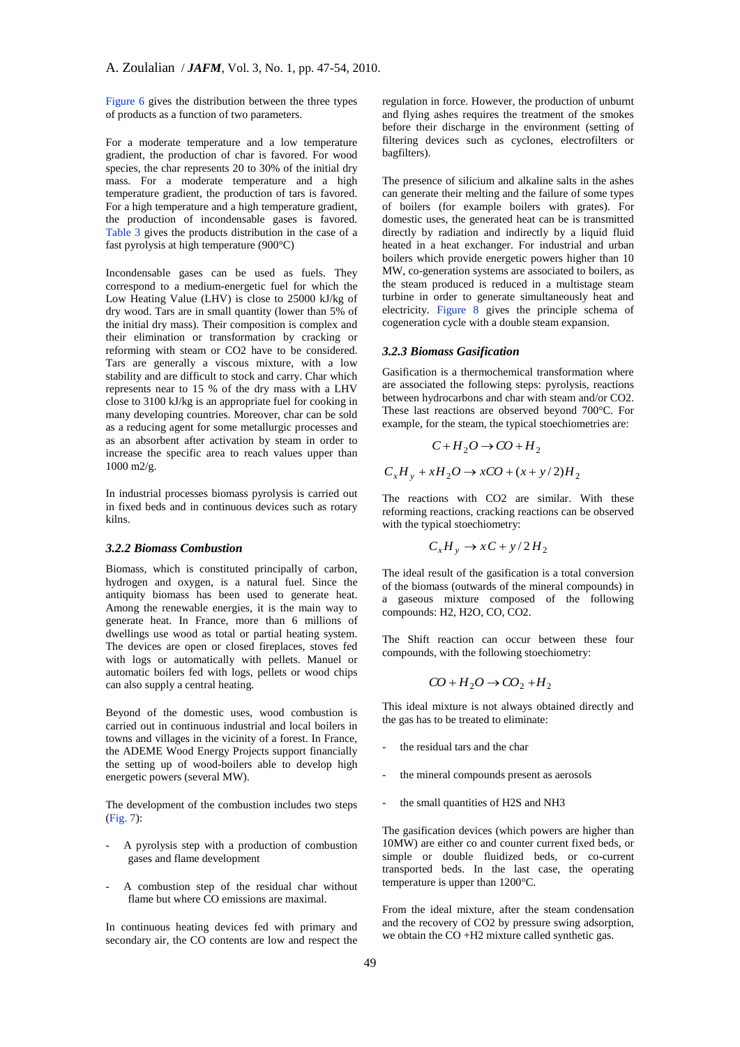Figure 6 gives the distribution between the three types of products as a function of two parameters.

For a moderate temperature and a low temperature gradient, the production of char is favored. For wood species, the char represents 20 to 30% of the initial dry mass. For a moderate temperature and a high temperature gradient, the production of tars is favored. For a high temperature and a high temperature gradient, the production of incondensable gases is favored. Table 3 gives the products distribution in the case of a fast pyrolysis at high temperature (900°C)

Incondensable gases can be used as fuels. They correspond to a medium-energetic fuel for which the Low Heating Value (LHV) is close to 25000 kJ/kg of dry wood. Tars are in small quantity (lower than 5% of the initial dry mass). Their composition is complex and their elimination or transformation by cracking or reforming with steam or CO2 have to be considered. Tars are generally a viscous mixture, with a low stability and are difficult to stock and carry. Char which represents near to 15 % of the dry mass with a LHV close to 3100 kJ/kg is an appropriate fuel for cooking in many developing countries. Moreover, char can be sold as a reducing agent for some metallurgic processes and as an absorbent after activation by steam in order to increase the specific area to reach values upper than 1000 m2/g.

In industrial processes biomass pyrolysis is carried out in fixed beds and in continuous devices such as rotary kilns.

#### *3.2.2 Biomass Combustion*

Biomass, which is constituted principally of carbon, hydrogen and oxygen, is a natural fuel. Since the antiquity biomass has been used to generate heat. Among the renewable energies, it is the main way to generate heat. In France, more than 6 millions of dwellings use wood as total or partial heating system. The devices are open or closed fireplaces, stoves fed with logs or automatically with pellets. Manuel or automatic boilers fed with logs, pellets or wood chips can also supply a central heating.

Beyond of the domestic uses, wood combustion is carried out in continuous industrial and local boilers in towns and villages in the vicinity of a forest. In France, the ADEME Wood Energy Projects support financially the setting up of wood-boilers able to develop high energetic powers (several MW).

The development of the combustion includes two steps (Fig. 7):

- A pyrolysis step with a production of combustion gases and flame development
- A combustion step of the residual char without flame but where CO emissions are maximal.

In continuous heating devices fed with primary and secondary air, the CO contents are low and respect the regulation in force. However, the production of unburnt and flying ashes requires the treatment of the smokes before their discharge in the environment (setting of filtering devices such as cyclones, electrofilters or bagfilters).

The presence of silicium and alkaline salts in the ashes can generate their melting and the failure of some types of boilers (for example boilers with grates). For domestic uses, the generated heat can be is transmitted directly by radiation and indirectly by a liquid fluid heated in a heat exchanger. For industrial and urban boilers which provide energetic powers higher than 10 MW, co-generation systems are associated to boilers, as the steam produced is reduced in a multistage steam turbine in order to generate simultaneously heat and electricity. Figure 8 gives the principle schema of cogeneration cycle with a double steam expansion.

#### *3.2.3 Biomass Gasification*

Gasification is a thermochemical transformation where are associated the following steps: pyrolysis, reactions between hydrocarbons and char with steam and/or CO2. These last reactions are observed beyond 700°C. For example, for the steam, the typical stoechiometries are:

$$
C + H_2O \rightarrow CO + H_2
$$
  

$$
C_xH_y + xH_2O \rightarrow xCO + (x + y/2)H_2
$$

The reactions with CO2 are similar. With these reforming reactions, cracking reactions can be observed with the typical stoechiometry:

$$
C_xH_y \to xC + y/2H_2
$$

The ideal result of the gasification is a total conversion of the biomass (outwards of the mineral compounds) in a gaseous mixture composed of the following compounds: H2, H2O, CO, CO2.

The Shift reaction can occur between these four compounds, with the following stoechiometry:

$$
CO + H_2O \rightarrow CO_2 + H_2
$$

This ideal mixture is not always obtained directly and the gas has to be treated to eliminate:

- the residual tars and the char
- the mineral compounds present as aerosols
- the small quantities of H2S and NH3

The gasification devices (which powers are higher than 10MW) are either co and counter current fixed beds, or simple or double fluidized beds, or co-current transported beds. In the last case, the operating temperature is upper than 1200°C.

From the ideal mixture, after the steam condensation and the recovery of CO2 by pressure swing adsorption, we obtain the CO +H2 mixture called synthetic gas.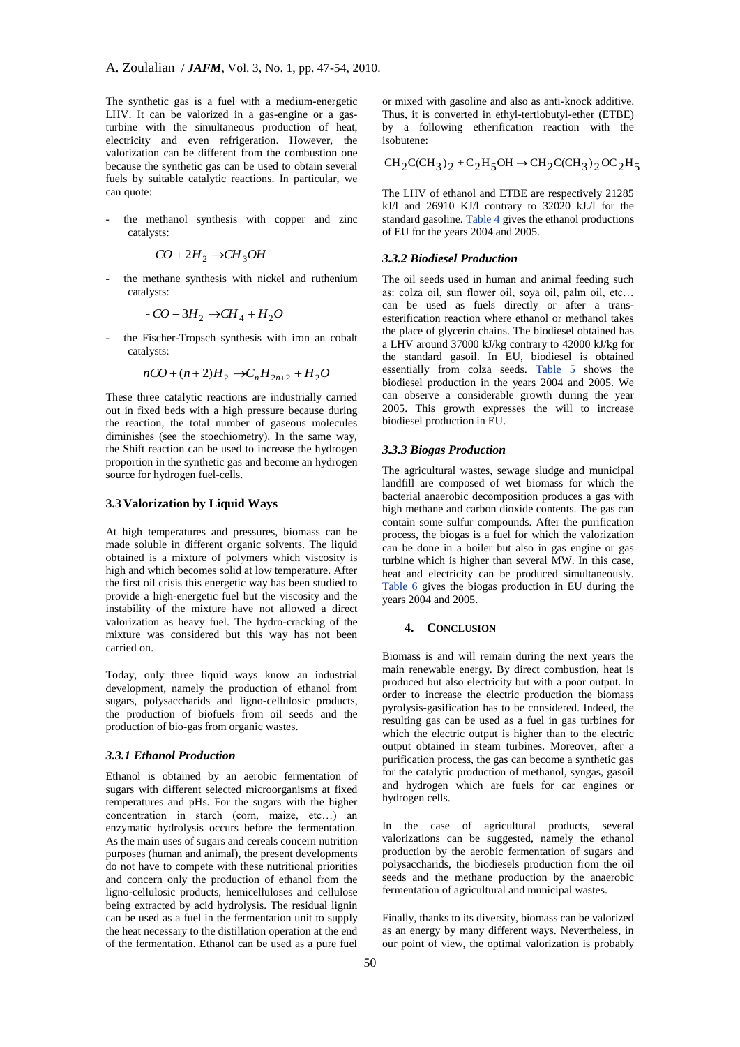The synthetic gas is a fuel with a medium-energetic LHV. It can be valorized in a gas-engine or a gasturbine with the simultaneous production of heat, electricity and even refrigeration. However, the valorization can be different from the combustion one because the synthetic gas can be used to obtain several fuels by suitable catalytic reactions. In particular, we can quote:

the methanol synthesis with copper and zinc catalysts:

$$
CO + 2H_2 \rightarrow CH_3OH
$$

the methane synthesis with nickel and ruthenium catalysts:

$$
-CO + 3H_2 \rightarrow CH_4 + H_2O
$$

the Fischer-Tropsch synthesis with iron an cobalt catalysts:

$$
nCO + (n+2)H_2 \rightarrow C_nH_{2n+2} + H_2O
$$

These three catalytic reactions are industrially carried out in fixed beds with a high pressure because during the reaction, the total number of gaseous molecules diminishes (see the stoechiometry). In the same way, the Shift reaction can be used to increase the hydrogen proportion in the synthetic gas and become an hydrogen source for hydrogen fuel-cells.

## **3.3 Valorization by Liquid Ways**

At high temperatures and pressures, biomass can be made soluble in different organic solvents. The liquid obtained is a mixture of polymers which viscosity is high and which becomes solid at low temperature. After the first oil crisis this energetic way has been studied to provide a high-energetic fuel but the viscosity and the instability of the mixture have not allowed a direct valorization as heavy fuel. The hydro-cracking of the mixture was considered but this way has not been carried on.

Today, only three liquid ways know an industrial development, namely the production of ethanol from sugars, polysaccharids and ligno-cellulosic products, the production of biofuels from oil seeds and the production of bio-gas from organic wastes.

#### *3.3.1 Ethanol Production*

Ethanol is obtained by an aerobic fermentation of sugars with different selected microorganisms at fixed temperatures and pHs. For the sugars with the higher concentration in starch (corn, maize, etc…) an enzymatic hydrolysis occurs before the fermentation. As the main uses of sugars and cereals concern nutrition purposes (human and animal), the present developments do not have to compete with these nutritional priorities and concern only the production of ethanol from the ligno-cellulosic products, hemicelluloses and cellulose being extracted by acid hydrolysis. The residual lignin can be used as a fuel in the fermentation unit to supply the heat necessary to the distillation operation at the end of the fermentation. Ethanol can be used as a pure fuel

or mixed with gasoline and also as anti-knock additive. Thus, it is converted in ethyl-tertiobutyl-ether (ETBE) by a following etherification reaction with the isobutene:

 $CH_2C(CH_3)_2 + C_2H_5OH \rightarrow CH_2C(CH_3)_2OC_2H_5$ 

The LHV of ethanol and ETBE are respectively 21285 kJ/l and  $26910$  KJ/l contrary to  $32020$  kJ./l for the standard gasoline. Table 4 gives the ethanol productions of EU for the years 2004 and 2005.

#### *3.3.2 Biodiesel Production*

The oil seeds used in human and animal feeding such as: colza oil, sun flower oil, soya oil, palm oil, etc… can be used as fuels directly or after a transesterification reaction where ethanol or methanol takes the place of glycerin chains. The biodiesel obtained has a LHV around 37000 kJ/kg contrary to 42000 kJ/kg for the standard gasoil. In EU, biodiesel is obtained essentially from colza seeds. Table 5 shows the biodiesel production in the years 2004 and 2005. We can observe a considerable growth during the year 2005. This growth expresses the will to increase biodiesel production in EU.

#### *3.3.3 Biogas Production*

The agricultural wastes, sewage sludge and municipal landfill are composed of wet biomass for which the bacterial anaerobic decomposition produces a gas with high methane and carbon dioxide contents. The gas can contain some sulfur compounds. After the purification process, the biogas is a fuel for which the valorization can be done in a boiler but also in gas engine or gas turbine which is higher than several MW. In this case, heat and electricity can be produced simultaneously. Table 6 gives the biogas production in EU during the years 2004 and 2005.

#### **4. CONCLUSION**

Biomass is and will remain during the next years the main renewable energy. By direct combustion, heat is produced but also electricity but with a poor output. In order to increase the electric production the biomass pyrolysis-gasification has to be considered. Indeed, the resulting gas can be used as a fuel in gas turbines for which the electric output is higher than to the electric output obtained in steam turbines. Moreover, after a purification process, the gas can become a synthetic gas for the catalytic production of methanol, syngas, gasoil and hydrogen which are fuels for car engines or hydrogen cells.

In the case of agricultural products, several valorizations can be suggested, namely the ethanol production by the aerobic fermentation of sugars and polysaccharids, the biodiesels production from the oil seeds and the methane production by the anaerobic fermentation of agricultural and municipal wastes.

Finally, thanks to its diversity, biomass can be valorized as an energy by many different ways. Nevertheless, in our point of view, the optimal valorization is probably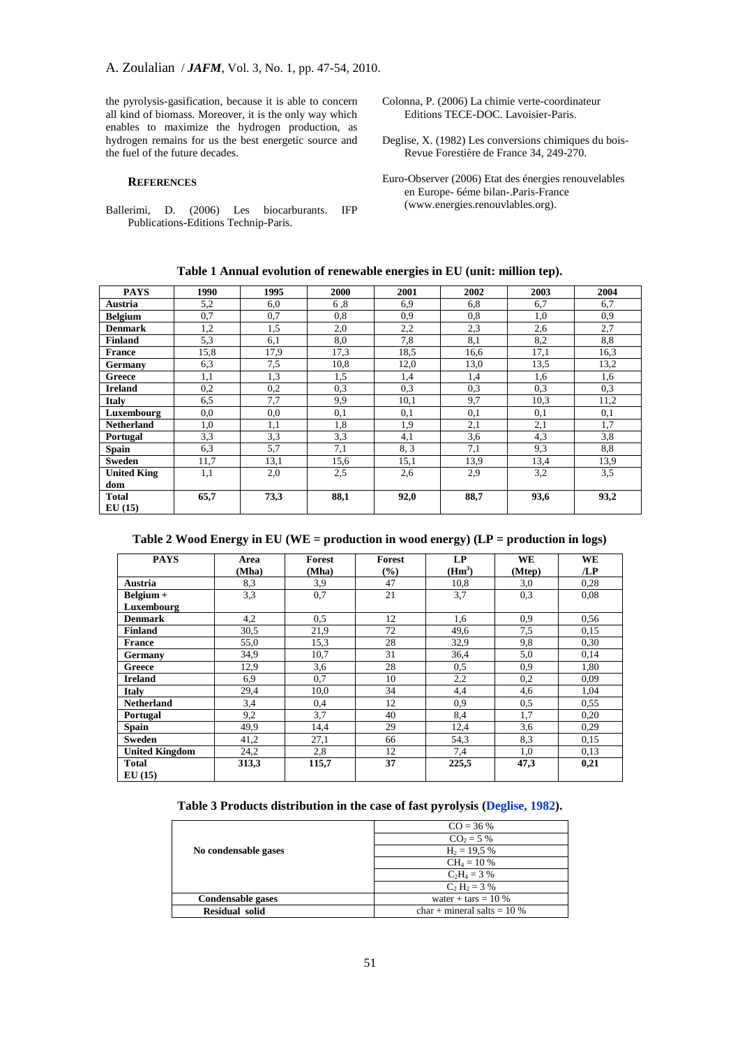the pyrolysis-gasification, because it is able to concern all kind of biomass. Moreover, it is the only way which enables to maximize the hydrogen production, as hydrogen remains for us the best energetic source and the fuel of the future decades.

#### **REFERENCES**

Ballerimi, D. (2006) Les biocarburants. IFP Publications-Editions Technip-Paris.

Colonna, P. (2006) La chimie verte-coordinateur Editions TECE-DOC. Lavoisier-Paris.

Deglise, X. (1982) Les conversions chimiques du bois-Revue Forestière de France 34, 249-270.

Euro-Observer (2006) Etat des énergies renouvelables en Europe- 6éme bilan-.Paris-France (www.energies.renouvlables.org).

**Table 1 Annual evolution of renewable energies in EU (unit: million tep).**

| <b>PAYS</b>        | 1990 | 1995 | 2000             | 2001 | 2002 | 2003 | 2004 |
|--------------------|------|------|------------------|------|------|------|------|
| Austria            | 5,2  | 6,0  | 6,8              | 6,9  | 6,8  | 6,7  | 6,7  |
| <b>Belgium</b>     | 0,7  | 0,7  | 0,8              | 0.9  | 0,8  | 1,0  | 0,9  |
| <b>Denmark</b>     | 1,2  | 1,5  | 2,0              | 2,2  | 2,3  | 2,6  | 2,7  |
| <b>Finland</b>     | 5,3  | 6,1  | 8,0              | 7,8  | 8,1  | 8,2  | 8,8  |
| <b>France</b>      | 15,8 | 17,9 | 17,3             | 18.5 | 16,6 | 17,1 | 16.3 |
| Germany            | 6,3  | 7,5  | 10,8             | 12,0 | 13,0 | 13.5 | 13,2 |
| Greece             | 1,1  | 1,3  | 1,5              | 1,4  | 1,4  | 1,6  | 1,6  |
| <b>Ireland</b>     | 0,2  | 0,2  | 0,3              | 0,3  | 0,3  | 0,3  | 0,3  |
| Italy              | 6,5  | 7,7  | 9,9              | 10,1 | 9,7  | 10.3 | 11,2 |
| Luxembourg         | 0,0  | 0,0  | 0,1              | 0,1  | 0,1  | 0,1  | 0,1  |
| <b>Netherland</b>  | 1,0  | 1,1  | 1,8              | 1,9  | 2,1  | 2,1  | 1,7  |
| Portugal           | 3.3  | 3.3  | 3,3              | 4,1  | 3,6  | 4,3  | 3,8  |
| <b>Spain</b>       | 6,3  | 5,7  | $7,\overline{1}$ | 8, 3 | 7,1  | 9,3  | 8,8  |
| Sweden             | 11,7 | 13,1 | 15,6             | 15,1 | 13,9 | 13,4 | 13,9 |
| <b>United King</b> | 1,1  | 2,0  | 2,5              | 2,6  | 2.9  | 3,2  | 3,5  |
| dom                |      |      |                  |      |      |      |      |
| <b>Total</b>       | 65,7 | 73,3 | 88,1             | 92,0 | 88,7 | 93,6 | 93,2 |
| EU(15)             |      |      |                  |      |      |      |      |

# **Table 2 Wood Energy in EU (WE = production in wood energy) (LP = production in logs)**

| <b>PAYS</b>           | Area  | Forest | <b>Forest</b> | LP       | WE     | WE   |
|-----------------------|-------|--------|---------------|----------|--------|------|
|                       | (Mha) | (Mha)  | $\frac{6}{6}$ | $(Hm^3)$ | (Mtep) | /LP  |
| Austria               | 8,3   | 3,9    | 47            | 10.8     | 3,0    | 0,28 |
| Belgium +             | 3,3   | 0,7    | 21            | 3,7      | 0.3    | 0.08 |
| Luxembourg            |       |        |               |          |        |      |
| <b>Denmark</b>        | 4,2   | 0.5    | 12            | 1,6      | 0.9    | 0,56 |
| <b>Finland</b>        | 30,5  | 21,9   | 72            | 49,6     | 7.5    | 0,15 |
| <b>France</b>         | 55,0  | 15.3   | 28            | 32,9     | 9,8    | 0,30 |
| Germany               | 34,9  | 10.7   | 31            | 36,4     | 5,0    | 0,14 |
| Greece                | 12,9  | 3,6    | 28            | 0.5      | 0.9    | 1,80 |
| <b>Ireland</b>        | 6,9   | 0,7    | 10            | 2,2      | 0,2    | 0,09 |
| <b>Italy</b>          | 29,4  | 10,0   | 34            | 4,4      | 4,6    | 1,04 |
| <b>Netherland</b>     | 3,4   | 0,4    | 12            | 0,9      | 0,5    | 0,55 |
| Portugal              | 9,2   | 3,7    | 40            | 8,4      | 1,7    | 0,20 |
| <b>Spain</b>          | 49,9  | 14,4   | 29            | 12,4     | 3,6    | 0.29 |
| <b>Sweden</b>         | 41,2  | 27,1   | 66            | 54,3     | 8.3    | 0,15 |
| <b>United Kingdom</b> | 24,2  | 2,8    | 12            | 7,4      | 1,0    | 0,13 |
| <b>Total</b>          | 313,3 | 115,7  | 37            | 225,5    | 47,3   | 0,21 |
| EU(15)                |       |        |               |          |        |      |

#### **Table 3 Products distribution in the case of fast pyrolysis (Deglise, 1982).**

|                          | $CO = 36 %$                   |  |  |  |
|--------------------------|-------------------------------|--|--|--|
|                          | $CO2 = 5%$                    |  |  |  |
| No condensable gases     | $H_2 = 19.5 %$                |  |  |  |
|                          | $CH_4 = 10\%$                 |  |  |  |
|                          | $C_2H_4 = 3%$                 |  |  |  |
|                          | $C_2 H_2 = 3 \%$              |  |  |  |
| <b>Condensable gases</b> | water + tars = $10\%$         |  |  |  |
| <b>Residual solid</b>    | $char + mineral$ salts = 10 % |  |  |  |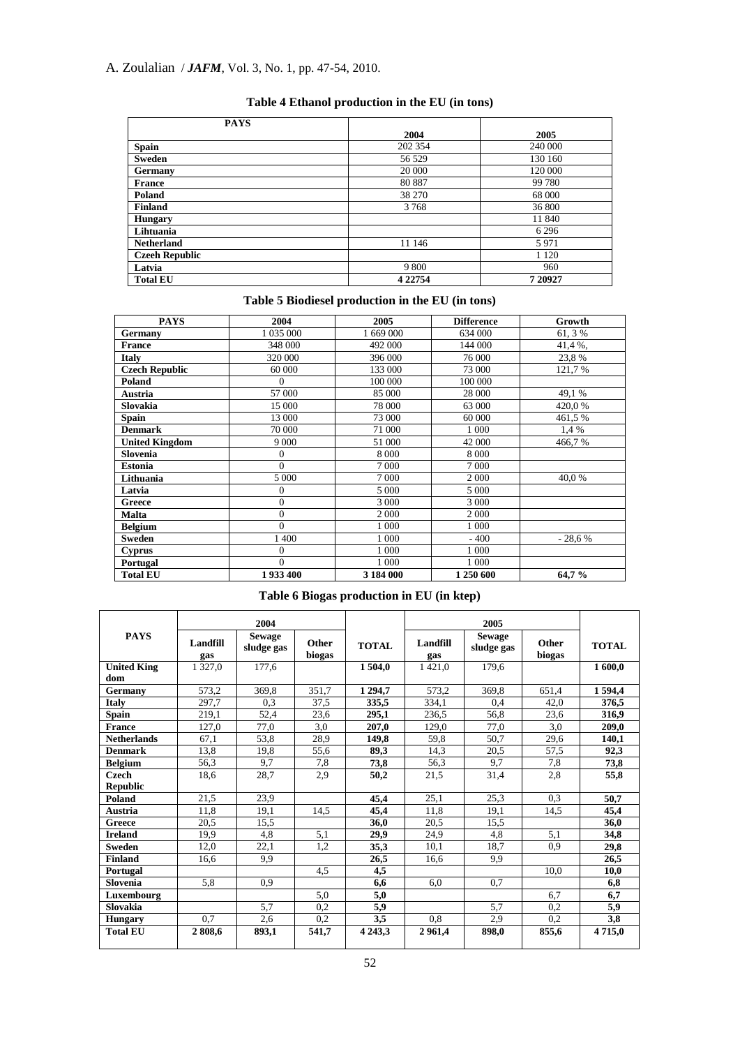# A. Zoulalian / *JAFM*, Vol. 3, No. 1, pp. 47-54, 2010.

| <b>PAYS</b>           |             |         |
|-----------------------|-------------|---------|
|                       | 2004        | 2005    |
| <b>Spain</b>          | 202 354     | 240 000 |
| <b>Sweden</b>         | 56 529      | 130 160 |
| Germany               | 20 000      | 120 000 |
| <b>France</b>         | 80 887      | 99 780  |
| Poland                | 38 270      | 68 000  |
| <b>Finland</b>        | 3768        | 36 800  |
| <b>Hungary</b>        |             | 11 840  |
| Lihtuania             |             | 6 2 9 6 |
| <b>Netherland</b>     | 11 146      | 5971    |
| <b>Czeeh Republic</b> |             | 1 1 2 0 |
| Latvia                | 9 800       | 960     |
| <b>Total EU</b>       | 4 2 2 7 5 4 | 720927  |

# **Table 4 Ethanol production in the EU (in tons)**

# **Table 5 Biodiesel production in the EU (in tons)**

| <b>PAYS</b>           | 2004           | 2005      | <b>Difference</b> | Growth   |
|-----------------------|----------------|-----------|-------------------|----------|
| Germany               | 1 035 000      | 1 669 000 | 634 000           | 61, 3 %  |
| <b>France</b>         | 348 000        | 492 000   | 144 000           | 41,4%,   |
| <b>Italy</b>          | 320 000        | 396 000   | 76 000            | 23,8%    |
| <b>Czech Republic</b> | 60 000         | 133 000   | 73 000            | 121,7%   |
| Poland                | $\Omega$       | 100 000   | 100 000           |          |
| Austria               | 57 000         | 85 000    | 28 000            | 49,1%    |
| Slovakia              | 15 000         | 78 000    | 63 000            | 420,0%   |
| <b>Spain</b>          | 13 000         | 73 000    | 60 000            | 461,5%   |
| <b>Denmark</b>        | 70 000         | 71 000    | 1 000             | 1,4 %    |
| <b>United Kingdom</b> | 9 0 0 0        | 51 000    | 42 000            | 466,7%   |
| Slovenia              | $\mathbf{0}$   | 8 0 0 0   | 8 0 0 0           |          |
| <b>Estonia</b>        | $\Omega$       | 7 0 0 0   | 7 0 0 0           |          |
| Lithuania             | 5 0 0 0        | 7 0 0 0   | 2 0 0 0           | 40.0%    |
| Latvia                | $\overline{0}$ | 5 0 0 0   | 5 0 0 0           |          |
| Greece                | $\overline{0}$ | 3 0 0 0   | 3 0 0 0           |          |
| Malta                 | $\overline{0}$ | 2000      | 2 0 0 0           |          |
| <b>Belgium</b>        | $\theta$       | 1 0 0 0   | 1 000             |          |
| <b>Sweden</b>         | 1 400          | 1 0 0 0   | $-400$            | $-28.6%$ |
| <b>Cyprus</b>         | $\overline{0}$ | 1 0 0 0   | 1 000             |          |
| Portugal              | $\overline{0}$ | 1 0 0 0   | 1 000             |          |
| <b>Total EU</b>       | 1933400        | 3 184 000 | 1 250 600         | 64,7%    |

# **Table 6 Biogas production in EU (in ktep)**

|                    |                 | 2004                        |                        |              | 2005            |                             |                        |              |
|--------------------|-----------------|-----------------------------|------------------------|--------------|-----------------|-----------------------------|------------------------|--------------|
| <b>PAYS</b>        | Landfill<br>gas | <b>Sewage</b><br>sludge gas | <b>Other</b><br>biogas | <b>TOTAL</b> | Landfill<br>gas | <b>Sewage</b><br>sludge gas | <b>Other</b><br>biogas | <b>TOTAL</b> |
| <b>United King</b> | 1 3 2 7 .0      | 177.6                       |                        | 1504,0       | 1421.0          | 179.6                       |                        | 1600,0       |
| dom                |                 |                             |                        |              |                 |                             |                        |              |
| Germany            | 573,2           | 369.8                       | 351,7                  | 1 2 9 4 .7   | 573,2           | 369.8                       | 651,4                  | 1 5 9 4 .4   |
| <b>Italy</b>       | 297.7           | 0.3                         | 37.5                   | 335.5        | 334.1           | 0.4                         | 42.0                   | 376.5        |
| <b>Spain</b>       | 219,1           | 52,4                        | 23,6                   | 295,1        | 236.5           | 56,8                        | 23,6                   | 316,9        |
| <b>France</b>      | 127,0           | 77,0                        | 3.0                    | 207.0        | 129,0           | 77,0                        | 3,0                    | 209.0        |
| <b>Netherlands</b> | 67,1            | 53.8                        | 28.9                   | 149.8        | 59.8            | 50.7                        | 29,6                   | 140.1        |
| <b>Denmark</b>     | 13,8            | 19,8                        | 55,6                   | 89.3         | 14.3            | 20,5                        | 57,5                   | 92,3         |
| <b>Belgium</b>     | 56.3            | 9.7                         | 7.8                    | 73,8         | 56.3            | 9.7                         | 7.8                    | 73,8         |
| Czech              | 18.6            | 28.7                        | 2.9                    | 50.2         | 21.5            | 31,4                        | 2.8                    | 55,8         |
| <b>Republic</b>    |                 |                             |                        |              |                 |                             |                        |              |
| Poland             | 21.5            | 23.9                        |                        | 45.4         | 25,1            | 25.3                        | 0.3                    | 50,7         |
| Austria            | 11.8            | 19,1                        | 14.5                   | 45,4         | 11.8            | 19,1                        | 14.5                   | 45,4         |
| Greece             | 20.5            | 15.5                        |                        | 36.0         | 20.5            | 15.5                        |                        | 36,0         |
| <b>Ireland</b>     | 19.9            | 4.8                         | 5.1                    | 29,9         | 24.9            | 4,8                         | 5,1                    | 34,8         |
| <b>Sweden</b>      | 12,0            | 22,1                        | 1.2                    | 35.3         | 10.1            | 18,7                        | 0.9                    | 29,8         |
| <b>Finland</b>     | 16,6            | 9,9                         |                        | 26.5         | 16,6            | 9,9                         |                        | 26,5         |
| Portugal           |                 |                             | 4.5                    | 4,5          |                 |                             | 10.0                   | 10,0         |
| Slovenia           | 5.8             | 0.9                         |                        | 6.6          | 6.0             | 0.7                         |                        | 6,8          |
| Luxembourg         |                 |                             | 5,0                    | 5,0          |                 |                             | 6.7                    | 6,7          |
| Slovakia           |                 | 5,7                         | 0,2                    | 5,9          |                 | 5,7                         | 0,2                    | 5,9          |
| <b>Hungary</b>     | 0.7             | 2,6                         | 0.2                    | 3,5          | 0.8             | 2.9                         | 0.2                    | 3,8          |
| <b>Total EU</b>    | 2808.6          | 893,1                       | 541,7                  | 4 2 4 3 , 3  | 2961.4          | 898.0                       | 855,6                  | 4715,0       |
|                    |                 |                             |                        |              |                 |                             |                        |              |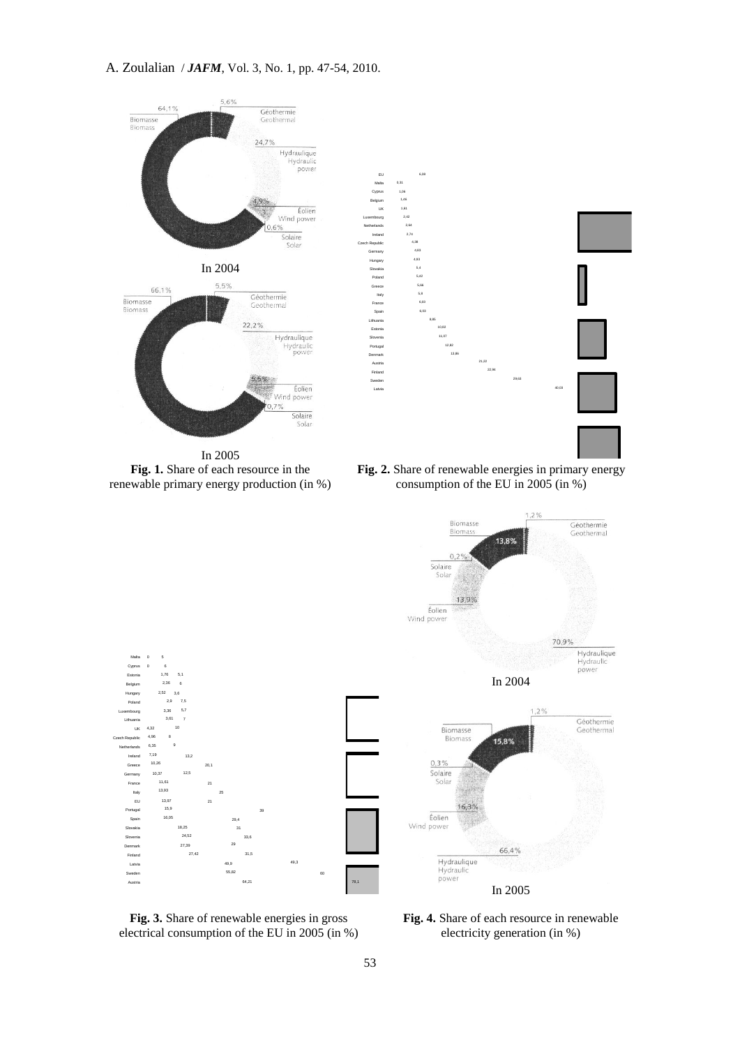

In 2005 **Fig. 1.** Share of each resource in the renewable primary energy production (in %)

**Fig. 2.** Share of renewable energies in primary energy consumption of the EU in 2005 (in %)



**Fig. 3.** Share of renewable energies in gross electrical consumption of the EU in 2005 (in %)